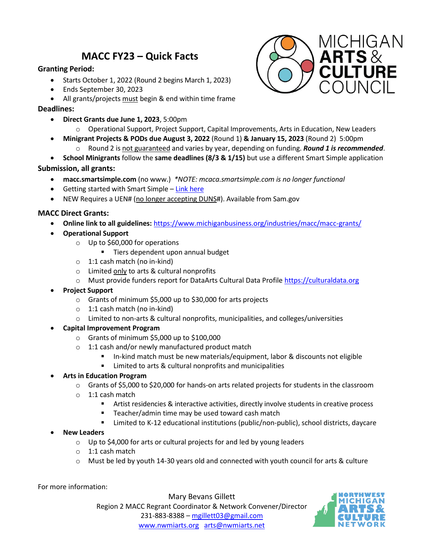# **MACC FY23 – Quick Facts**

## **Granting Period:**

- Starts October 1, 2022 (Round 2 begins March 1, 2023)
- Ends September 30, 2023
- All grants/projects must begin & end within time frame

## **Deadlines:**

• **Direct Grants due June 1, 2023**, 5:00pm



- o Operational Support, Project Support, Capital Improvements, Arts in Education, New Leaders
- **Minigrant Projects & PODs due August 3, 2022** (Round 1) **& January 15, 2023** (Round 2) 5:00pm o Round 2 is not guaranteed and varies by year, depending on funding. *Round 1 is recommended*.
	-
- **School Minigrants** follow the **same deadlines (8/3 & 1/15)** but use a different Smart Simple application

#### **Submission, all grants:**

- **macc.smartsimple.com** (no www.) *\*NOTE: mcaca.smartsimple.com is no longer functional*
- Getting started with Smart Simple [Link here](https://medc.app.box.com/s/hvi4orrqud1k36ghu7q3rwpixe3bpbd1)
- NEW Requires a UEN# (no longer accepting DUNS#). Available from Sam.gov

## **MACC Direct Grants:**

- **Online link to all guidelines:** <https://www.michiganbusiness.org/industries/macc/macc-grants/>
- **Operational Support**
	- o Up to \$60,000 for operations
		- Tiers dependent upon annual budget
	- o 1:1 cash match (no in-kind)
	- o Limited only to arts & cultural nonprofits
	- o Must provide funders report for DataArts Cultural Data Profile [https://culturaldata.org](https://culturaldata.org/)
- **Project Support**
	- o Grants of minimum \$5,000 up to \$30,000 for arts projects
	- o 1:1 cash match (no in-kind)
	- $\circ$  Limited to non-arts & cultural nonprofits, municipalities, and colleges/universities
- **Capital Improvement Program**
	- o Grants of minimum \$5,000 up to \$100,000
	- o 1:1 cash and/or newly manufactured product match
		- In-kind match must be new materials/equipment, labor & discounts not eligible
		- Limited to arts & cultural nonprofits and municipalities
- **Arts in Education Program**
	- o Grants of \$5,000 to \$20,000 for hands-on arts related projects for students in the classroom
	- o 1:1 cash match
		- Artist residencies & interactive activities, directly involve students in creative process
		- Teacher/admin time may be used toward cash match
		- Limited to K-12 educational institutions (public/non-public), school districts, daycare
- **New Leaders** 
	- $\circ$  Up to \$4,000 for arts or cultural projects for and led by young leaders
	- o 1:1 cash match
	- o Must be led by youth 14-30 years old and connected with youth council for arts & culture

For more information:

Mary Bevans Gillett Region 2 MACC Regrant Coordinator & Network Convener/Director 231-883-8388 – [mgillett03@gmail.com](mailto:mgillett03@gmail.com) [www.nwmiarts.org](http://www.nwmiarts.org/) [arts@nwmiarts.net](mailto:arts@nwmiarts.net)